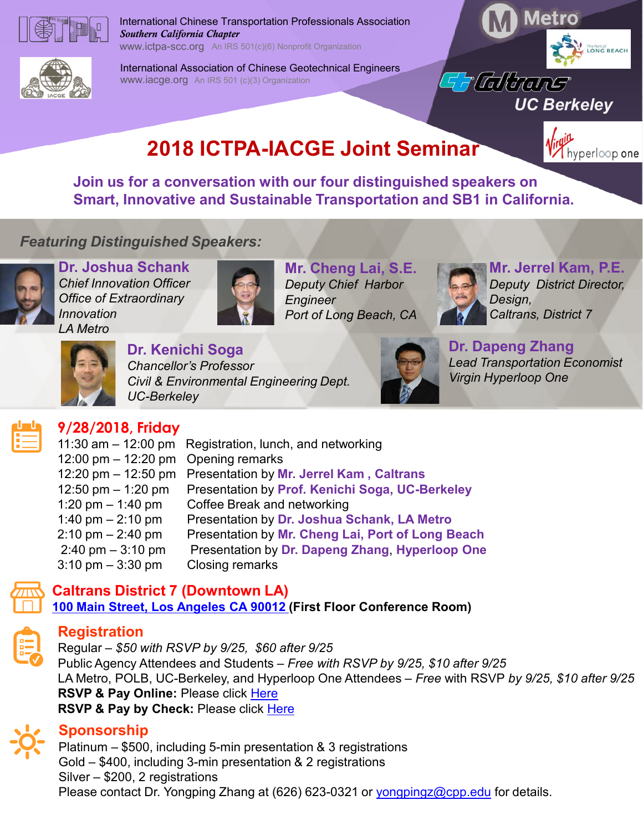

International Chinese Transportation Professionals Association **Annual Convention** Metro Southern California Chapter www.ictpa-scc.org An IRS 501(c)(6) Nonprofit Organization

International Association of Chinese Geotechnical Engineers<br>www.iacge.org An IRS 501 (c)(3) Organization<br>And Control of California Control of California Control of California Control of California Control of California Con www.iacge.org An IRS 501 (c)(3) Organization



UC Berkeley

# **2018 ICTPA-IACGE Joint Seminar Will Apper loop one**

Join us for a conversation with our four distinguished speakers on Smart, Innovative and Sustainable Transportation and SB1 in California. International Chinese Transportation Professionals Association<br>
Southern California Chapter<br>
WARGGE SOTIGION Norpriofit Organization<br>
International Association of Chinese Geotechnical Engineers<br>
WARGGE Joint Seminar<br>
Join

## Featuring Distinguished Speakers:









### Dr. Kenichi Soga





### 9/28/2018, Friday

| Join us for a conversation with our four distinguished speakers on<br><b>Smart, Innovative and Sustainable Transportation and SB1 in California.</b>                                                                                                                                                                                                                                                                                                                                                                                                                                                                                                                                                                                                                   |
|------------------------------------------------------------------------------------------------------------------------------------------------------------------------------------------------------------------------------------------------------------------------------------------------------------------------------------------------------------------------------------------------------------------------------------------------------------------------------------------------------------------------------------------------------------------------------------------------------------------------------------------------------------------------------------------------------------------------------------------------------------------------|
| <b>Iring Distinguished Speakers:</b>                                                                                                                                                                                                                                                                                                                                                                                                                                                                                                                                                                                                                                                                                                                                   |
| <b>Dr. Joshua Schank</b><br>Mr. Jerrel Kam, P.E.<br>Mr. Cheng Lai, S.E.<br><b>Chief Innovation Officer</b><br><b>Deputy District Director,</b><br><b>Deputy Chief Harbor</b><br><b>Office of Extraordinary</b><br>Design,<br>Engineer<br>Innovation<br>Port of Long Beach, CA<br>Caltrans, District 7<br><b>LA Metro</b>                                                                                                                                                                                                                                                                                                                                                                                                                                               |
| <b>Dr. Dapeng Zhang</b><br>Dr. Kenichi Soga<br><b>Lead Transportation Economist</b><br><b>Chancellor's Professor</b><br><b>Virgin Hyperloop One</b><br>Civil & Environmental Engineering Dept.<br><b>UC-Berkeley</b>                                                                                                                                                                                                                                                                                                                                                                                                                                                                                                                                                   |
| 9/28/2018, Friday<br>$11:30$ am $-12:00$ pm<br>Registration, lunch, and networking<br>12:00 pm $-$ 12:20 pm<br>Opening remarks<br>12:20 pm $-$ 12:50 pm<br>Presentation by Mr. Jerrel Kam, Caltrans<br>12:50 pm $-$ 1:20 pm<br>Presentation by Prof. Kenichi Soga, UC-Berkeley<br>Coffee Break and networking<br>1:20 pm $-$ 1:40 pm<br>Presentation by Dr. Joshua Schank, LA Metro<br>1:40 pm $-$ 2:10 pm<br>Presentation by Mr. Cheng Lai, Port of Long Beach<br>$2:10 \text{ pm} - 2:40 \text{ pm}$<br>$2:40 \text{ pm} - 3:10 \text{ pm}$<br>Presentation by Dr. Dapeng Zhang, Hyperloop One<br>$3:10 \text{ pm} - 3:30 \text{ pm}$<br>Closing remarks<br>Caltrans District 7 (Downtown LA)<br>100 Main Street, Los Angeles CA 90012 (First Floor Conference Room) |
| <b>Registration</b><br>Regular - \$50 with RSVP by 9/25, \$60 after 9/25<br>Public Agency Attendees and Students – Free with RSVP by 9/25, \$10 after 9/25<br>LA Metro, POLB, UC-Berkeley, and Hyperloop One Attendees - Free with RSVP by 9/25, \$10 after 9/25<br>RSVP & Pay Online: Please click Here<br>RSVP & Pay by Check: Please click Here                                                                                                                                                                                                                                                                                                                                                                                                                     |
| <b>Sponsorship</b><br>Platinum $-$ \$500, including 5-min presentation & 3 registrations<br>Gold $-$ \$400, including 3-min presentation & 2 registrations<br>Silver - \$200, 2 registrations<br>Please contact Dr. Yongping Zhang at (626) 623-0321 or yongpingz@cpp.edu for details.                                                                                                                                                                                                                                                                                                                                                                                                                                                                                 |

## Caltrans District 7 (Downtown LA)



#### **Registration**

**RSVP & Pay Online: Please click Here** RSVP & Pay by Check: Please click Here 12:00 pm – 1:20 pm<br>12:00 pm – 1:40 pm<br>12:00 pm – 1:40 pm<br>14:00 pm – 2:40 pm<br>Presentation by Dr. Joshua Schank, LA Metro<br>2:10 pm – 2:40 pm<br>Presentation by Mr. Cheng Lai, Port of Long Beach<br>3:10 pm – 3:10 pm<br>3:10 pm – 3:30 p 1:20 pm – 1:40 pm<br>  $2(20 \text{ pm} - 1.49 \text{ cm})$  Correstation by Dr. Joshua Schank, LA Metro<br>  $2(210 \text{ pm} - 2:10 \text{ pm}$  Presentation by Dr. Dabua Schank, LA Metro<br>  $2(210 \text{ pm} - 3:30 \text{ pm}$  Presentation by Dr. Dapeng Zhang, Hyperloc

#### Sponsorship